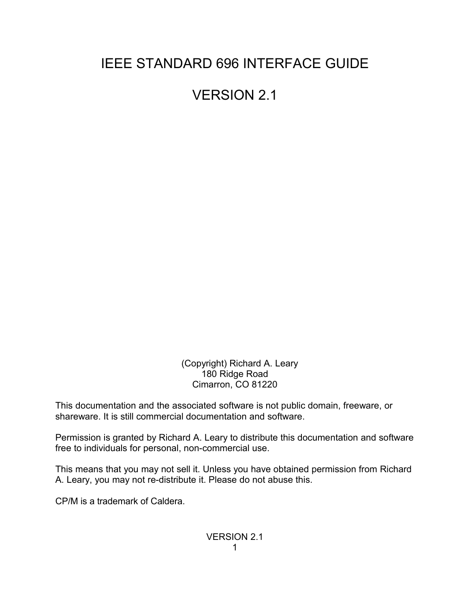# IEEE STANDARD 696 INTERFACE GUIDE

VERSION 2.1

 (Copyright) Richard A. Leary 180 Ridge Road Cimarron, CO 81220

This documentation and the associated software is not public domain, freeware, or shareware. It is still commercial documentation and software.

Permission is granted by Richard A. Leary to distribute this documentation and software free to individuals for personal, non-commercial use.

This means that you may not sell it. Unless you have obtained permission from Richard A. Leary, you may not re-distribute it. Please do not abuse this.

CP/M is a trademark of Caldera.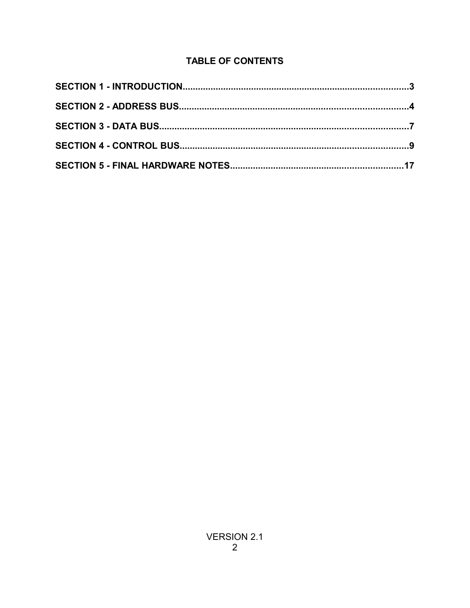# **TABLE OF CONTENTS**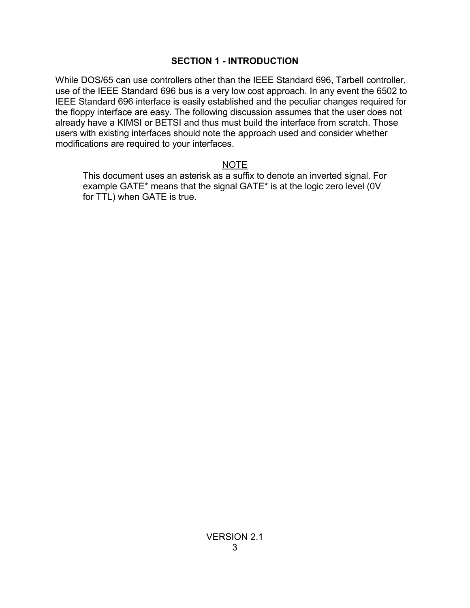#### **SECTION 1 - INTRODUCTION**

While DOS/65 can use controllers other than the IEEE Standard 696, Tarbell controller, use of the IEEE Standard 696 bus is a very low cost approach. In any event the 6502 to IEEE Standard 696 interface is easily established and the peculiar changes required for the floppy interface are easy. The following discussion assumes that the user does not already have a KIMSI or BETSI and thus must build the interface from scratch. Those users with existing interfaces should note the approach used and consider whether modifications are required to your interfaces.

#### NOTE

This document uses an asterisk as a suffix to denote an inverted signal. For example GATE\* means that the signal GATE\* is at the logic zero level (0V for TTL) when GATE is true.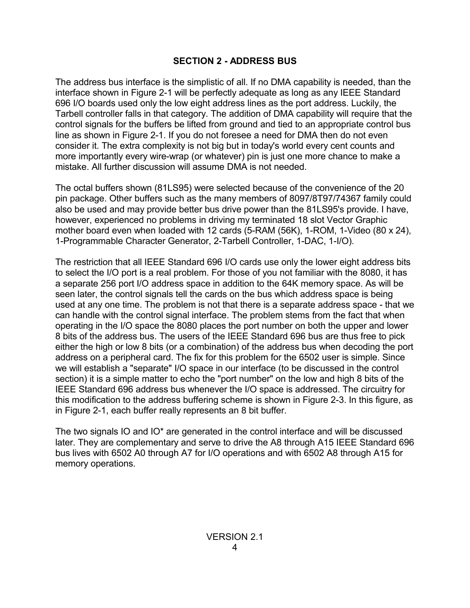### **SECTION 2 - ADDRESS BUS**

The address bus interface is the simplistic of all. If no DMA capability is needed, than the interface shown in Figure 2-1 will be perfectly adequate as long as any IEEE Standard 696 I/O boards used only the low eight address lines as the port address. Luckily, the Tarbell controller falls in that category. The addition of DMA capability will require that the control signals for the buffers be lifted from ground and tied to an appropriate control bus line as shown in Figure 2-1. If you do not foresee a need for DMA then do not even consider it. The extra complexity is not big but in today's world every cent counts and more importantly every wire-wrap (or whatever) pin is just one more chance to make a mistake. All further discussion will assume DMA is not needed.

The octal buffers shown (81LS95) were selected because of the convenience of the 20 pin package. Other buffers such as the many members of 8097/8T97/74367 family could also be used and may provide better bus drive power than the 81LS95's provide. I have, however, experienced no problems in driving my terminated 18 slot Vector Graphic mother board even when loaded with 12 cards (5-RAM (56K), 1-ROM, 1-Video (80 x 24), 1-Programmable Character Generator, 2-Tarbell Controller, 1-DAC, 1-I/O).

The restriction that all IEEE Standard 696 I/O cards use only the lower eight address bits to select the I/O port is a real problem. For those of you not familiar with the 8080, it has a separate 256 port I/O address space in addition to the 64K memory space. As will be seen later, the control signals tell the cards on the bus which address space is being used at any one time. The problem is not that there is a separate address space - that we can handle with the control signal interface. The problem stems from the fact that when operating in the I/O space the 8080 places the port number on both the upper and lower 8 bits of the address bus. The users of the IEEE Standard 696 bus are thus free to pick either the high or low 8 bits (or a combination) of the address bus when decoding the port address on a peripheral card. The fix for this problem for the 6502 user is simple. Since we will establish a "separate" I/O space in our interface (to be discussed in the control section) it is a simple matter to echo the "port number" on the low and high 8 bits of the IEEE Standard 696 address bus whenever the I/O space is addressed. The circuitry for this modification to the address buffering scheme is shown in Figure 2-3. In this figure, as in Figure 2-1, each buffer really represents an 8 bit buffer.

The two signals IO and IO\* are generated in the control interface and will be discussed later. They are complementary and serve to drive the A8 through A15 IEEE Standard 696 bus lives with 6502 A0 through A7 for I/O operations and with 6502 A8 through A15 for memory operations.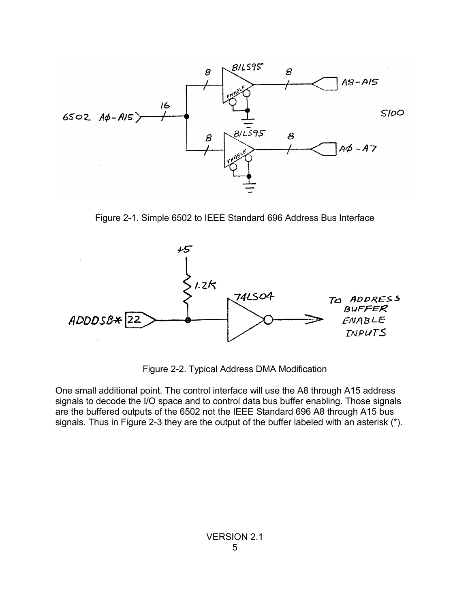

Figure 2-1. Simple 6502 to IEEE Standard 696 Address Bus Interface



Figure 2-2. Typical Address DMA Modification

One small additional point. The control interface will use the A8 through A15 address signals to decode the I/O space and to control data bus buffer enabling. Those signals are the buffered outputs of the 6502 not the IEEE Standard 696 A8 through A15 bus signals. Thus in Figure 2-3 they are the output of the buffer labeled with an asterisk (\*).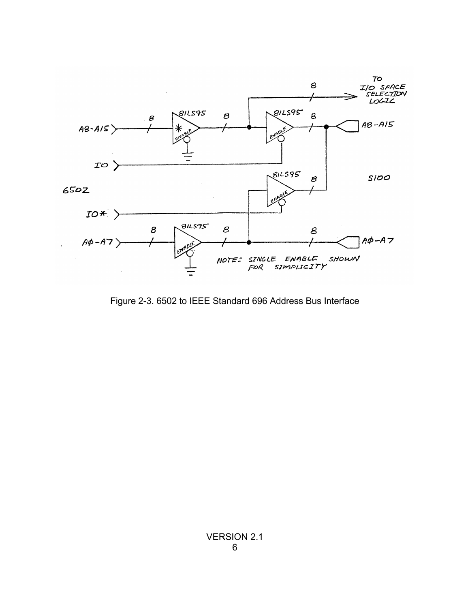

Figure 2-3. 6502 to IEEE Standard 696 Address Bus Interface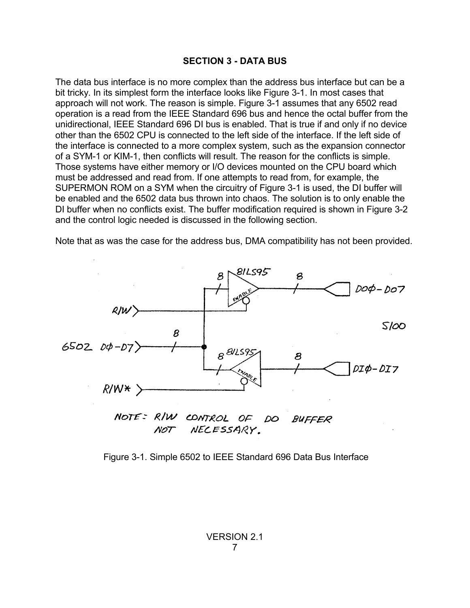#### **SECTION 3 - DATA BUS**

The data bus interface is no more complex than the address bus interface but can be a bit tricky. In its simplest form the interface looks like Figure 3-1. In most cases that approach will not work. The reason is simple. Figure 3-1 assumes that any 6502 read operation is a read from the IEEE Standard 696 bus and hence the octal buffer from the unidirectional, IEEE Standard 696 DI bus is enabled. That is true if and only if no device other than the 6502 CPU is connected to the left side of the interface. If the left side of the interface is connected to a more complex system, such as the expansion connector of a SYM-1 or KIM-1, then conflicts will result. The reason for the conflicts is simple. Those systems have either memory or I/O devices mounted on the CPU board which must be addressed and read from. If one attempts to read from, for example, the SUPERMON ROM on a SYM when the circuitry of Figure 3-1 is used, the DI buffer will be enabled and the 6502 data bus thrown into chaos. The solution is to only enable the DI buffer when no conflicts exist. The buffer modification required is shown in Figure 3-2 and the control logic needed is discussed in the following section.

Note that as was the case for the address bus, DMA compatibility has not been provided.



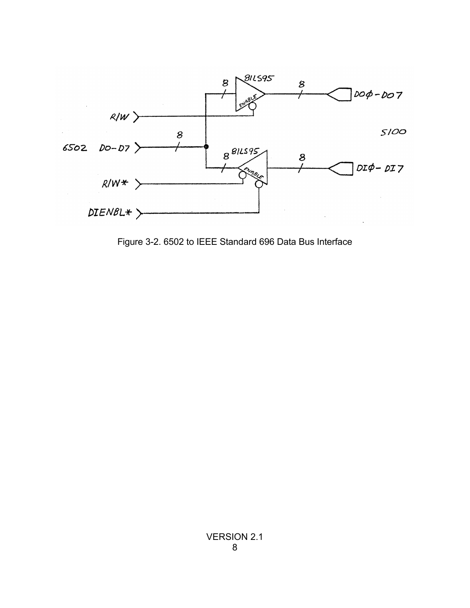

Figure 3-2. 6502 to IEEE Standard 696 Data Bus Interface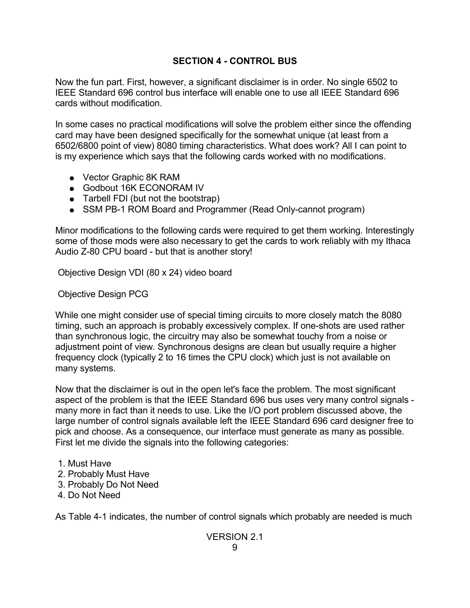# **SECTION 4 - CONTROL BUS**

Now the fun part. First, however, a significant disclaimer is in order. No single 6502 to IEEE Standard 696 control bus interface will enable one to use all IEEE Standard 696 cards without modification.

In some cases no practical modifications will solve the problem either since the offending card may have been designed specifically for the somewhat unique (at least from a 6502/6800 point of view) 8080 timing characteristics. What does work? All I can point to is my experience which says that the following cards worked with no modifications.

- Vector Graphic 8K RAM
- Godbout 16K ECONORAM IV
- Tarbell FDI (but not the bootstrap)
- SSM PB-1 ROM Board and Programmer (Read Only-cannot program)

Minor modifications to the following cards were required to get them working. Interestingly some of those mods were also necessary to get the cards to work reliably with my Ithaca Audio Z-80 CPU board - but that is another story!

Objective Design VDI (80 x 24) video board

Objective Design PCG

While one might consider use of special timing circuits to more closely match the 8080 timing, such an approach is probably excessively complex. If one-shots are used rather than synchronous logic, the circuitry may also be somewhat touchy from a noise or adjustment point of view. Synchronous designs are clean but usually require a higher frequency clock (typically 2 to 16 times the CPU clock) which just is not available on many systems.

Now that the disclaimer is out in the open let's face the problem. The most significant aspect of the problem is that the IEEE Standard 696 bus uses very many control signals many more in fact than it needs to use. Like the I/O port problem discussed above, the large number of control signals available left the IEEE Standard 696 card designer free to pick and choose. As a consequence, our interface must generate as many as possible. First let me divide the signals into the following categories:

- 1. Must Have
- 2. Probably Must Have
- 3. Probably Do Not Need
- 4. Do Not Need

As Table 4-1 indicates, the number of control signals which probably are needed is much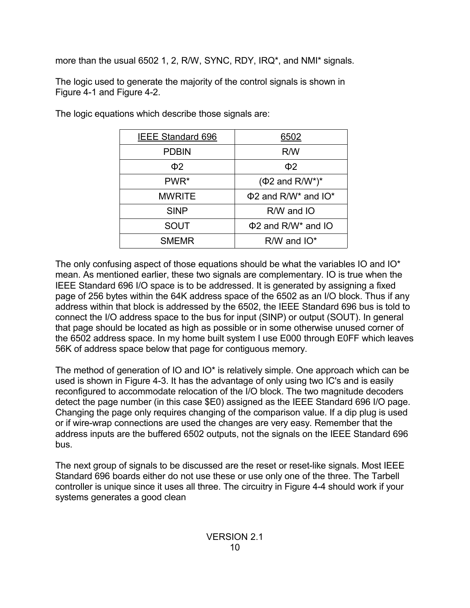more than the usual 6502 1, 2, R/W, SYNC, RDY, IRQ\*, and NMI\* signals.

The logic used to generate the majority of the control signals is shown in Figure 4-1 and Figure 4-2.

| <b>IEEE Standard 696</b> | 6502                                              |
|--------------------------|---------------------------------------------------|
| <b>PDBIN</b>             | R/W                                               |
| Ф2                       | $\Phi$                                            |
| PWR <sup>*</sup>         | $(\Phi 2$ and R/W*)*                              |
| MWRITE                   | $\Phi$ 2 and R/W <sup>*</sup> and IO <sup>*</sup> |
| <b>SINP</b>              | $R/W$ and $IO$                                    |
| SOUT                     | $\Phi$ 2 and R/W <sup>*</sup> and IO              |
| <b>SMEMR</b>             | $R/W$ and $IO^*$                                  |

The logic equations which describe those signals are:

The only confusing aspect of those equations should be what the variables IO and IO\* mean. As mentioned earlier, these two signals are complementary. IO is true when the IEEE Standard 696 I/O space is to be addressed. It is generated by assigning a fixed page of 256 bytes within the 64K address space of the 6502 as an I/O block. Thus if any address within that block is addressed by the 6502, the IEEE Standard 696 bus is told to connect the I/O address space to the bus for input (SINP) or output (SOUT). In general that page should be located as high as possible or in some otherwise unused corner of the 6502 address space. In my home built system I use E000 through E0FF which leaves 56K of address space below that page for contiguous memory.

The method of generation of IO and IO\* is relatively simple. One approach which can be used is shown in Figure 4-3. It has the advantage of only using two IC's and is easily reconfigured to accommodate relocation of the I/O block. The two magnitude decoders detect the page number (in this case \$E0) assigned as the IEEE Standard 696 I/O page. Changing the page only requires changing of the comparison value. If a dip plug is used or if wire-wrap connections are used the changes are very easy. Remember that the address inputs are the buffered 6502 outputs, not the signals on the IEEE Standard 696 bus.

The next group of signals to be discussed are the reset or reset-like signals. Most IEEE Standard 696 boards either do not use these or use only one of the three. The Tarbell controller is unique since it uses all three. The circuitry in Figure 4-4 should work if your systems generates a good clean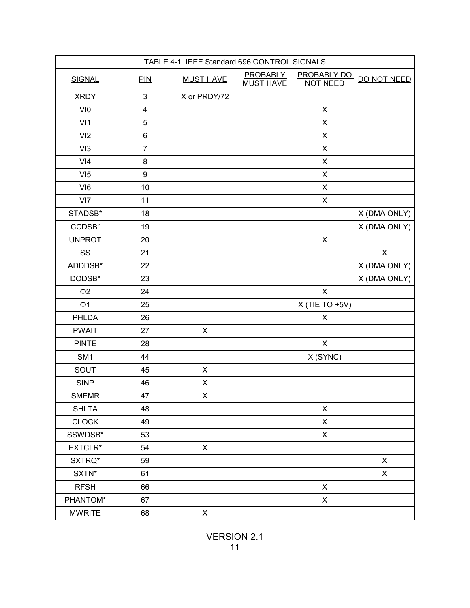| TABLE 4-1. IEEE Standard 696 CONTROL SIGNALS |                         |                  |                                     |                                       |              |
|----------------------------------------------|-------------------------|------------------|-------------------------------------|---------------------------------------|--------------|
| <b>SIGNAL</b>                                | PIN                     | <b>MUST HAVE</b> | <b>PROBABLY</b><br><b>MUST HAVE</b> | <b>PROBABLY DO</b><br><b>NOT NEED</b> | DO NOT NEED  |
| <b>XRDY</b>                                  | $\mathsf 3$             | X or PRDY/72     |                                     |                                       |              |
| VI0                                          | $\overline{\mathbf{4}}$ |                  |                                     | $\pmb{\times}$                        |              |
| V <sub>11</sub>                              | 5                       |                  |                                     | $\pmb{\times}$                        |              |
| VI2                                          | 6                       |                  |                                     | X                                     |              |
| VI3                                          | $\overline{7}$          |                  |                                     | X                                     |              |
| V <sub>14</sub>                              | 8                       |                  |                                     | X                                     |              |
| VI5                                          | 9                       |                  |                                     | X                                     |              |
| VI <sub>6</sub>                              | 10                      |                  |                                     | X                                     |              |
| VI7                                          | 11                      |                  |                                     | $\pmb{\times}$                        |              |
| STADSB*                                      | 18                      |                  |                                     |                                       | X (DMA ONLY) |
| CCDSB"                                       | 19                      |                  |                                     |                                       | X (DMA ONLY) |
| <b>UNPROT</b>                                | 20                      |                  |                                     | $\pmb{\times}$                        |              |
| SS                                           | 21                      |                  |                                     |                                       | X            |
| ADDDSB*                                      | 22                      |                  |                                     |                                       | X (DMA ONLY) |
| DODSB*                                       | 23                      |                  |                                     |                                       | X (DMA ONLY) |
| $\Phi$ <sub>2</sub>                          | 24                      |                  |                                     | $\pmb{\times}$                        |              |
| $\Phi$ 1                                     | 25                      |                  |                                     | $X$ (TIE TO +5V)                      |              |
| PHLDA                                        | 26                      |                  |                                     | X                                     |              |
| <b>PWAIT</b>                                 | 27                      | $\pmb{\times}$   |                                     |                                       |              |
| <b>PINTE</b>                                 | 28                      |                  |                                     | $\pmb{\times}$                        |              |
| SM <sub>1</sub>                              | 44                      |                  |                                     | X (SYNC)                              |              |
| SOUT                                         | 45                      | X                |                                     |                                       |              |
| <b>SINP</b>                                  | 46                      | X                |                                     |                                       |              |
| <b>SMEMR</b>                                 | 47                      | X                |                                     |                                       |              |
| <b>SHLTA</b>                                 | 48                      |                  |                                     | X                                     |              |
| <b>CLOCK</b>                                 | 49                      |                  |                                     | $\mathsf{X}$                          |              |
| SSWDSB*                                      | 53                      |                  |                                     | X                                     |              |
| EXTCLR*                                      | 54                      | X                |                                     |                                       |              |
| SXTRQ*                                       | 59                      |                  |                                     |                                       | $\mathsf{X}$ |
| SXTN*                                        | 61                      |                  |                                     |                                       | X            |
| <b>RFSH</b>                                  | 66                      |                  |                                     | X                                     |              |
| PHANTOM*                                     | 67                      |                  |                                     | X                                     |              |
| <b>MWRITE</b>                                | 68                      | X                |                                     |                                       |              |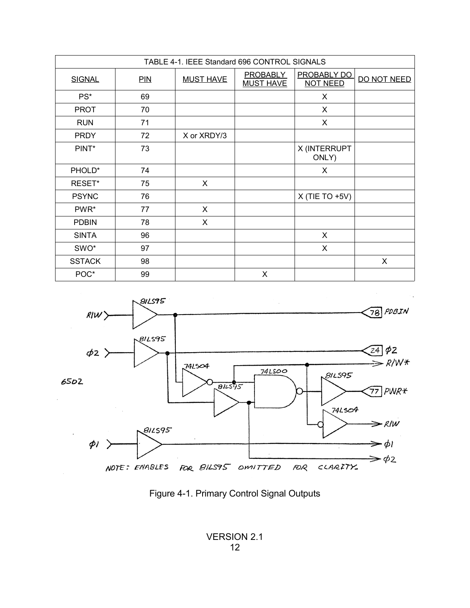| TABLE 4-1. IEEE Standard 696 CONTROL SIGNALS |     |                  |                                     |                                       |             |  |
|----------------------------------------------|-----|------------------|-------------------------------------|---------------------------------------|-------------|--|
| <b>SIGNAL</b>                                | PIN | <b>MUST HAVE</b> | <b>PROBABLY</b><br><b>MUST HAVE</b> | <b>PROBABLY DO</b><br><b>NOT NEED</b> | DO NOT NEED |  |
| PS*                                          | 69  |                  |                                     | X                                     |             |  |
| <b>PROT</b>                                  | 70  |                  |                                     | X                                     |             |  |
| <b>RUN</b>                                   | 71  |                  |                                     | X                                     |             |  |
| <b>PRDY</b>                                  | 72  | X or XRDY/3      |                                     |                                       |             |  |
| PINT*                                        | 73  |                  |                                     | X (INTERRUPT<br>ONLY)                 |             |  |
| PHOLD*                                       | 74  |                  |                                     | X                                     |             |  |
| RESET*                                       | 75  | X                |                                     |                                       |             |  |
| <b>PSYNC</b>                                 | 76  |                  |                                     | $X$ (TIE TO +5V)                      |             |  |
| PWR*                                         | 77  | X                |                                     |                                       |             |  |
| <b>PDBIN</b>                                 | 78  | X                |                                     |                                       |             |  |
| <b>SINTA</b>                                 | 96  |                  |                                     | X                                     |             |  |
| SWO*                                         | 97  |                  |                                     | X                                     |             |  |
| <b>SSTACK</b>                                | 98  |                  |                                     |                                       | X           |  |
| POC*                                         | 99  |                  | X                                   |                                       |             |  |



Figure 4-1. Primary Control Signal Outputs

VERSION 2.1 12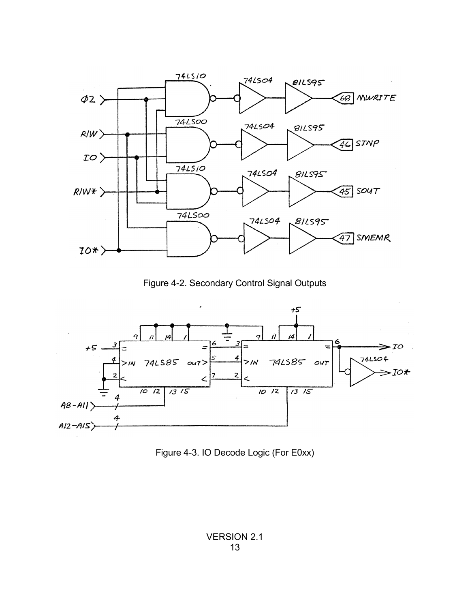

Figure 4-2. Secondary Control Signal Outputs



Figure 4-3. IO Decode Logic (For E0xx)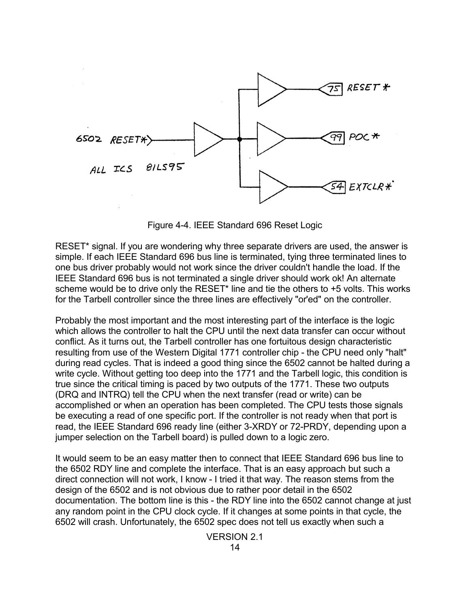

Figure 4-4. IEEE Standard 696 Reset Logic

RESET\* signal. If you are wondering why three separate drivers are used, the answer is simple. If each IEEE Standard 696 bus line is terminated, tying three terminated lines to one bus driver probably would not work since the driver couldn't handle the load. If the IEEE Standard 696 bus is not terminated a single driver should work ok! An alternate scheme would be to drive only the RESET<sup>\*</sup> line and tie the others to +5 volts. This works for the Tarbell controller since the three lines are effectively "or'ed" on the controller.

Probably the most important and the most interesting part of the interface is the logic which allows the controller to halt the CPU until the next data transfer can occur without conflict. As it turns out, the Tarbell controller has one fortuitous design characteristic resulting from use of the Western Digital 1771 controller chip - the CPU need only "halt" during read cycles. That is indeed a good thing since the 6502 cannot be halted during a write cycle. Without getting too deep into the 1771 and the Tarbell logic, this condition is true since the critical timing is paced by two outputs of the 1771. These two outputs (DRQ and INTRQ) tell the CPU when the next transfer (read or write) can be accomplished or when an operation has been completed. The CPU tests those signals be executing a read of one specific port. If the controller is not ready when that port is read, the IEEE Standard 696 ready line (either 3-XRDY or 72-PRDY, depending upon a jumper selection on the Tarbell board) is pulled down to a logic zero.

It would seem to be an easy matter then to connect that IEEE Standard 696 bus line to the 6502 RDY line and complete the interface. That is an easy approach but such a direct connection will not work, I know - I tried it that way. The reason stems from the design of the 6502 and is not obvious due to rather poor detail in the 6502 documentation. The bottom line is this - the RDY line into the 6502 cannot change at just any random point in the CPU clock cycle. If it changes at some points in that cycle, the 6502 will crash. Unfortunately, the 6502 spec does not tell us exactly when such a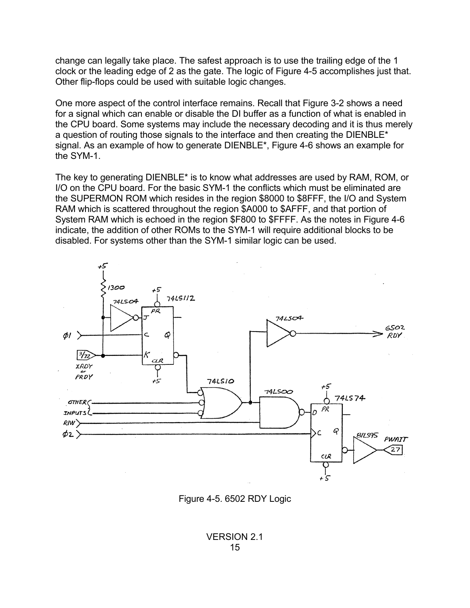change can legally take place. The safest approach is to use the trailing edge of the 1 clock or the leading edge of 2 as the gate. The logic of Figure 4-5 accomplishes just that. Other flip-flops could be used with suitable logic changes.

One more aspect of the control interface remains. Recall that Figure 3-2 shows a need for a signal which can enable or disable the DI buffer as a function of what is enabled in the CPU board. Some systems may include the necessary decoding and it is thus merely a question of routing those signals to the interface and then creating the DIENBLE\* signal. As an example of how to generate DIENBLE\*, Figure 4-6 shows an example for the SYM-1.

The key to generating DIENBLE\* is to know what addresses are used by RAM, ROM, or I/O on the CPU board. For the basic SYM-1 the conflicts which must be eliminated are the SUPERMON ROM which resides in the region \$8000 to \$8FFF, the I/O and System RAM which is scattered throughout the region \$A000 to \$AFFF, and that portion of System RAM which is echoed in the region \$F800 to \$FFFF. As the notes in Figure 4-6 indicate, the addition of other ROMs to the SYM-1 will require additional blocks to be disabled. For systems other than the SYM-1 similar logic can be used.



Figure 4-5. 6502 RDY Logic

VERSION 2.1 15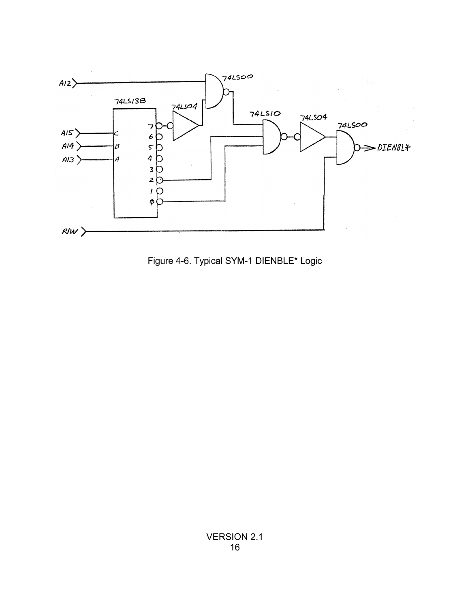